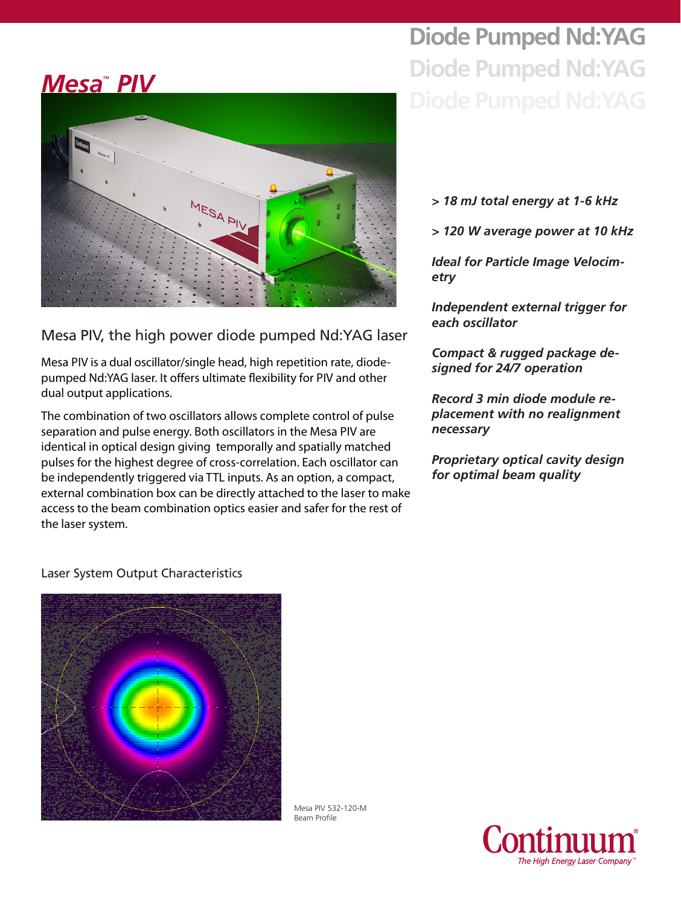## **Mesa<sup>"</sup> PIV**



Mesa PIV, the high power diode pumped Nd:YAG laser

Mesa PIV is a dual oscillator/single head, high repetition rate, diodepumped Nd:YAG laser. It offers ultimate flexibility for PIV and other dual output applications.

The combination of two oscillators allows complete control of pulse separation and pulse energy. Both oscillators in the Mesa PIV are identical in optical design giving temporally and spatially matched pulses for the highest degree of cross-correlation. Each oscillator can be independently triggered via TTL inputs. As an option, a compact, external combination box can be directly attached to the laser to make access to the beam combination optics easier and safer for the rest of the laser system.

# **Diode Pumped Nd:YAG Diode Pumped Nd:YAG**

- *> 18 mJ total energy at 1-6 kHz*
- *> 120 W average power at 10 kHz*

*Ideal for Particle Image Velocimetry*

*Independent external trigger for each oscillator*

*Compact & rugged package designed for 24/7 operation*

*Record 3 min diode module replacement with no realignment necessary*

*Proprietary optical cavity design for optimal beam quality*

#### Laser System Output Characteristics



Mesa PIV 532-120-M Beam Profile

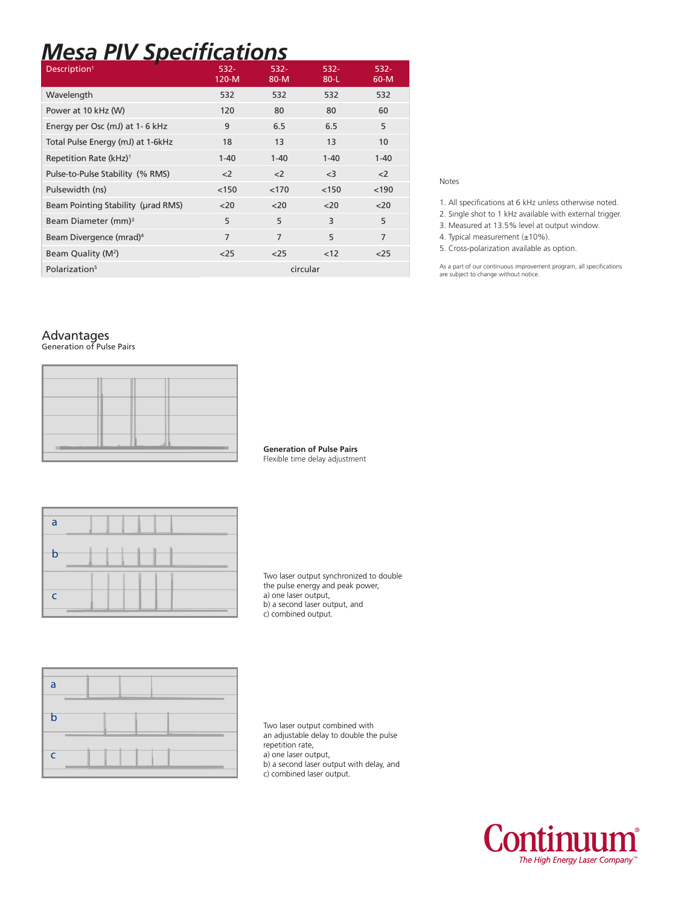### *Mesa PIV Specifications*

| Description <sup>1</sup>            | $532 -$<br>$120-M$ | $532 -$<br>$80-M$ | $532 -$<br>$80-L$ | 532-<br>$60-M$ |
|-------------------------------------|--------------------|-------------------|-------------------|----------------|
| Wavelength                          | 532                | 532               | 532               | 532            |
| Power at 10 kHz (W)                 | 120                | 80                | 80                | 60             |
| Energy per Osc (mJ) at 1-6 kHz      | 9                  | 6.5               | 6.5               | 5              |
| Total Pulse Energy (mJ) at 1-6kHz   | 18                 | 13                | 13                | 10             |
| Repetition Rate (kHz) <sup>1</sup>  | $1 - 40$           | $1 - 40$          | $1 - 40$          | $1 - 40$       |
| Pulse-to-Pulse Stability (% RMS)    | $\leq$             | $\langle$ 2       | $<$ 3             | $<$ 2          |
| Pulsewidth (ns)                     | < 150              | < 170             | < 150             | < 190          |
| Beam Pointing Stability (urad RMS)  | $<$ 20             | $<$ 20            | $20$              | $20$           |
| Beam Diameter (mm) <sup>3</sup>     | 5                  | 5                 | 3                 | 5              |
| Beam Divergence (mrad) <sup>4</sup> | $\overline{7}$     | 7                 | 5                 | $\overline{7}$ |
| Beam Quality (M <sup>2</sup> )      | $25$               | $25$              | <12               | $25$           |
| Polarization <sup>5</sup>           |                    | circular          |                   |                |

#### Notes

- 1. All specifications at 6 kHz unless otherwise noted.
- 2. Single shot to 1 kHz available with external trigger.
- 3. Measured at 13.5% level at output window.
- 4. Typical measurement (±10%).
- 5. Cross-polarization available as option.

As a part of our continuous improvement program, all specifications are subject to change without notice.

#### Advantages

Generation of Pulse Pairs

**Generation of Pulse Pairs** Flexible time delay adjustment

| a            |  |  |  |  |
|--------------|--|--|--|--|
| b            |  |  |  |  |
|              |  |  |  |  |
| $\mathsf{C}$ |  |  |  |  |

Two laser output synchronized to double the pulse energy and peak power, a) one laser output, b) a second laser output, and c) combined output.



Two laser output combined with an adjustable delay to double the pulse repetition rate, a) one laser output, b) a second laser output with delay, and c) combined laser output.